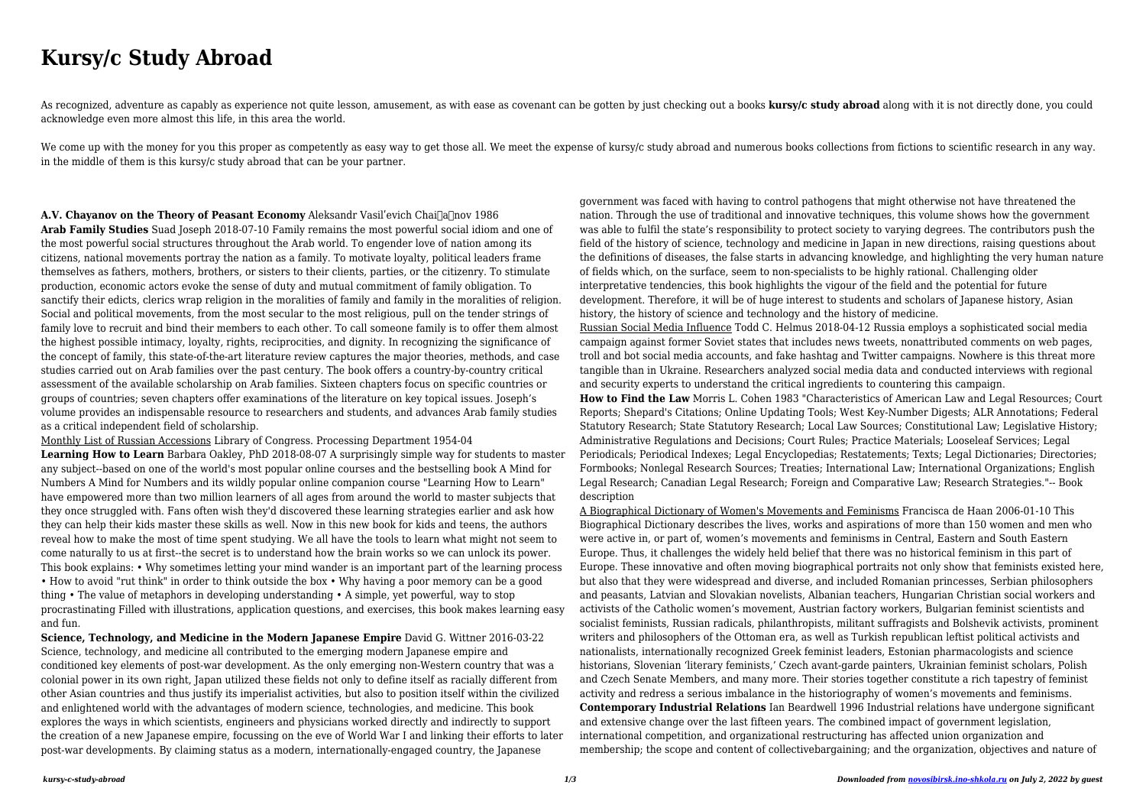# **Kursy/c Study Abroad**

As recognized, adventure as capably as experience not quite lesson, amusement, as with ease as covenant can be gotten by just checking out a books **kursy/c study abroad** along with it is not directly done, you could acknowledge even more almost this life, in this area the world.

We come up with the money for you this proper as competently as easy way to get those all. We meet the expense of kursy/c study abroad and numerous books collections from fictions to scientific research in any way. in the middle of them is this kursy/c study abroad that can be your partner.

**A.V. Chayanov on the Theory of Peasant Economy** Aleksandr Vasil'evich Chai<sup>n</sup>a nov 1986 **Arab Family Studies** Suad Joseph 2018-07-10 Family remains the most powerful social idiom and one of the most powerful social structures throughout the Arab world. To engender love of nation among its citizens, national movements portray the nation as a family. To motivate loyalty, political leaders frame themselves as fathers, mothers, brothers, or sisters to their clients, parties, or the citizenry. To stimulate production, economic actors evoke the sense of duty and mutual commitment of family obligation. To sanctify their edicts, clerics wrap religion in the moralities of family and family in the moralities of religion. Social and political movements, from the most secular to the most religious, pull on the tender strings of family love to recruit and bind their members to each other. To call someone family is to offer them almost the highest possible intimacy, loyalty, rights, reciprocities, and dignity. In recognizing the significance of the concept of family, this state-of-the-art literature review captures the major theories, methods, and case studies carried out on Arab families over the past century. The book offers a country-by-country critical assessment of the available scholarship on Arab families. Sixteen chapters focus on specific countries or groups of countries; seven chapters offer examinations of the literature on key topical issues. Joseph's volume provides an indispensable resource to researchers and students, and advances Arab family studies as a critical independent field of scholarship.

Monthly List of Russian Accessions Library of Congress. Processing Department 1954-04 **Learning How to Learn** Barbara Oakley, PhD 2018-08-07 A surprisingly simple way for students to master any subject--based on one of the world's most popular online courses and the bestselling book A Mind for Numbers A Mind for Numbers and its wildly popular online companion course "Learning How to Learn" have empowered more than two million learners of all ages from around the world to master subjects that they once struggled with. Fans often wish they'd discovered these learning strategies earlier and ask how they can help their kids master these skills as well. Now in this new book for kids and teens, the authors reveal how to make the most of time spent studying. We all have the tools to learn what might not seem to come naturally to us at first--the secret is to understand how the brain works so we can unlock its power. This book explains: • Why sometimes letting your mind wander is an important part of the learning process • How to avoid "rut think" in order to think outside the box • Why having a poor memory can be a good thing • The value of metaphors in developing understanding • A simple, yet powerful, way to stop procrastinating Filled with illustrations, application questions, and exercises, this book makes learning easy and fun.

**Science, Technology, and Medicine in the Modern Japanese Empire** David G. Wittner 2016-03-22 Science, technology, and medicine all contributed to the emerging modern Japanese empire and conditioned key elements of post-war development. As the only emerging non-Western country that was a colonial power in its own right, Japan utilized these fields not only to define itself as racially different from other Asian countries and thus justify its imperialist activities, but also to position itself within the civilized and enlightened world with the advantages of modern science, technologies, and medicine. This book explores the ways in which scientists, engineers and physicians worked directly and indirectly to support the creation of a new Japanese empire, focussing on the eve of World War I and linking their efforts to later post-war developments. By claiming status as a modern, internationally-engaged country, the Japanese

government was faced with having to control pathogens that might otherwise not have threatened the nation. Through the use of traditional and innovative techniques, this volume shows how the government was able to fulfil the state's responsibility to protect society to varying degrees. The contributors push the field of the history of science, technology and medicine in Japan in new directions, raising questions about the definitions of diseases, the false starts in advancing knowledge, and highlighting the very human nature of fields which, on the surface, seem to non-specialists to be highly rational. Challenging older interpretative tendencies, this book highlights the vigour of the field and the potential for future development. Therefore, it will be of huge interest to students and scholars of Japanese history, Asian history, the history of science and technology and the history of medicine. Russian Social Media Influence Todd C. Helmus 2018-04-12 Russia employs a sophisticated social media campaign against former Soviet states that includes news tweets, nonattributed comments on web pages, troll and bot social media accounts, and fake hashtag and Twitter campaigns. Nowhere is this threat more tangible than in Ukraine. Researchers analyzed social media data and conducted interviews with regional and security experts to understand the critical ingredients to countering this campaign. **How to Find the Law** Morris L. Cohen 1983 "Characteristics of American Law and Legal Resources; Court

Reports; Shepard's Citations; Online Updating Tools; West Key-Number Digests; ALR Annotations; Federal Statutory Research; State Statutory Research; Local Law Sources; Constitutional Law; Legislative History; Administrative Regulations and Decisions: Court Rules: Practice Materials: Looseleaf Services: Legal Periodicals; Periodical Indexes; Legal Encyclopedias; Restatements; Texts; Legal Dictionaries; Directories; Formbooks; Nonlegal Research Sources; Treaties; International Law; International Organizations; English Legal Research; Canadian Legal Research; Foreign and Comparative Law; Research Strategies."-- Book description

A Biographical Dictionary of Women's Movements and Feminisms Francisca de Haan 2006-01-10 This Biographical Dictionary describes the lives, works and aspirations of more than 150 women and men who were active in, or part of, women's movements and feminisms in Central, Eastern and South Eastern Europe. Thus, it challenges the widely held belief that there was no historical feminism in this part of Europe. These innovative and often moving biographical portraits not only show that feminists existed here, but also that they were widespread and diverse, and included Romanian princesses, Serbian philosophers and peasants, Latvian and Slovakian novelists, Albanian teachers, Hungarian Christian social workers and activists of the Catholic women's movement, Austrian factory workers, Bulgarian feminist scientists and socialist feminists, Russian radicals, philanthropists, militant suffragists and Bolshevik activists, prominent writers and philosophers of the Ottoman era, as well as Turkish republican leftist political activists and nationalists, internationally recognized Greek feminist leaders, Estonian pharmacologists and science historians, Slovenian 'literary feminists,' Czech avant-garde painters, Ukrainian feminist scholars, Polish and Czech Senate Members, and many more. Their stories together constitute a rich tapestry of feminist activity and redress a serious imbalance in the historiography of women's movements and feminisms. **Contemporary Industrial Relations** Ian Beardwell 1996 Industrial relations have undergone significant and extensive change over the last fifteen years. The combined impact of government legislation, international competition, and organizational restructuring has affected union organization and membership; the scope and content of collectivebargaining; and the organization, objectives and nature of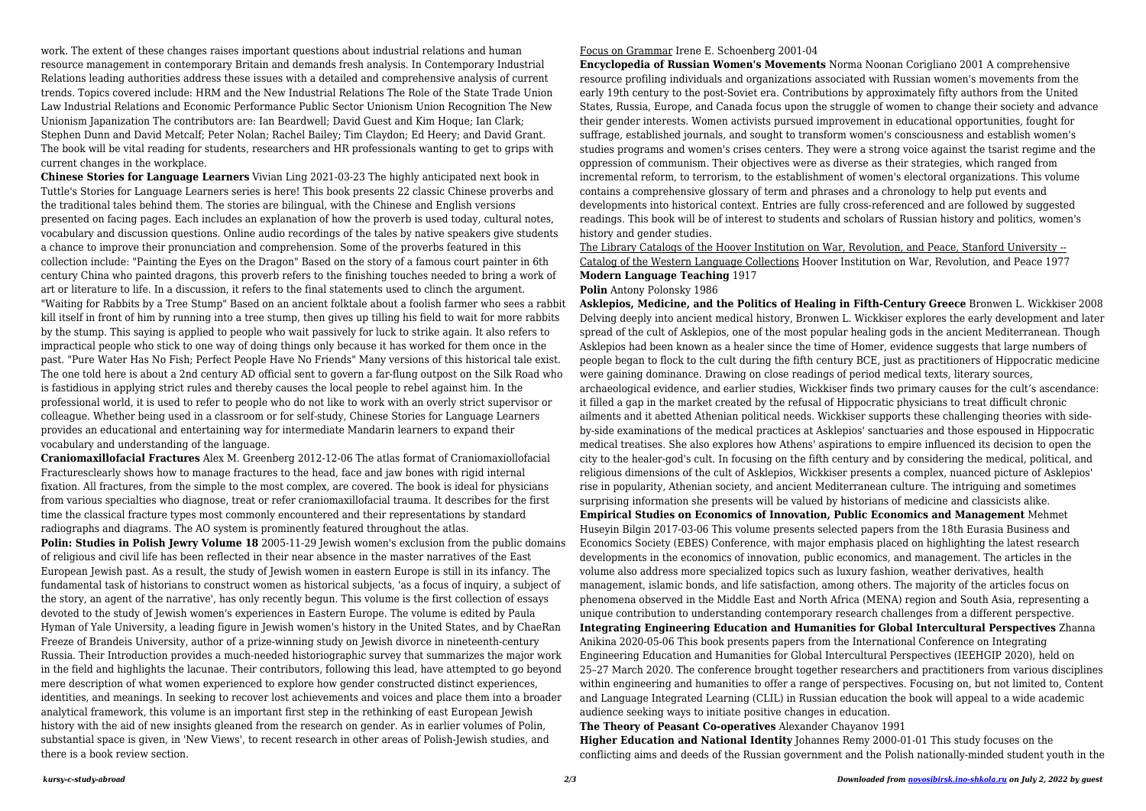work. The extent of these changes raises important questions about industrial relations and human resource management in contemporary Britain and demands fresh analysis. In Contemporary Industrial Relations leading authorities address these issues with a detailed and comprehensive analysis of current trends. Topics covered include: HRM and the New Industrial Relations The Role of the State Trade Union Law Industrial Relations and Economic Performance Public Sector Unionism Union Recognition The New Unionism Japanization The contributors are: Ian Beardwell; David Guest and Kim Hoque; Ian Clark; Stephen Dunn and David Metcalf; Peter Nolan; Rachel Bailey; Tim Claydon; Ed Heery; and David Grant. The book will be vital reading for students, researchers and HR professionals wanting to get to grips with current changes in the workplace.

**Chinese Stories for Language Learners** Vivian Ling 2021-03-23 The highly anticipated next book in Tuttle's Stories for Language Learners series is here! This book presents 22 classic Chinese proverbs and the traditional tales behind them. The stories are bilingual, with the Chinese and English versions presented on facing pages. Each includes an explanation of how the proverb is used today, cultural notes, vocabulary and discussion questions. Online audio recordings of the tales by native speakers give students a chance to improve their pronunciation and comprehension. Some of the proverbs featured in this collection include: "Painting the Eyes on the Dragon" Based on the story of a famous court painter in 6th century China who painted dragons, this proverb refers to the finishing touches needed to bring a work of art or literature to life. In a discussion, it refers to the final statements used to clinch the argument. "Waiting for Rabbits by a Tree Stump" Based on an ancient folktale about a foolish farmer who sees a rabbit kill itself in front of him by running into a tree stump, then gives up tilling his field to wait for more rabbits by the stump. This saying is applied to people who wait passively for luck to strike again. It also refers to impractical people who stick to one way of doing things only because it has worked for them once in the past. "Pure Water Has No Fish; Perfect People Have No Friends" Many versions of this historical tale exist. The one told here is about a 2nd century AD official sent to govern a far-flung outpost on the Silk Road who is fastidious in applying strict rules and thereby causes the local people to rebel against him. In the professional world, it is used to refer to people who do not like to work with an overly strict supervisor or colleague. Whether being used in a classroom or for self-study, Chinese Stories for Language Learners provides an educational and entertaining way for intermediate Mandarin learners to expand their vocabulary and understanding of the language.

**Polin: Studies in Polish Jewry Volume 18** 2005-11-29 Jewish women's exclusion from the public domains of religious and civil life has been reflected in their near absence in the master narratives of the East European Jewish past. As a result, the study of Jewish women in eastern Europe is still in its infancy. The fundamental task of historians to construct women as historical subjects, 'as a focus of inquiry, a subject of the story, an agent of the narrative', has only recently begun. This volume is the first collection of essays devoted to the study of Jewish women's experiences in Eastern Europe. The volume is edited by Paula Hyman of Yale University, a leading figure in Jewish women's history in the United States, and by ChaeRan Freeze of Brandeis University, author of a prize-winning study on Jewish divorce in nineteenth-century Russia. Their Introduction provides a much-needed historiographic survey that summarizes the major work in the field and highlights the lacunae. Their contributors, following this lead, have attempted to go beyond mere description of what women experienced to explore how gender constructed distinct experiences, identities, and meanings. In seeking to recover lost achievements and voices and place them into a broader analytical framework, this volume is an important first step in the rethinking of east European Jewish history with the aid of new insights gleaned from the research on gender. As in earlier volumes of Polin, substantial space is given, in 'New Views', to recent research in other areas of Polish-Jewish studies, and there is a book review section.

**Craniomaxillofacial Fractures** Alex M. Greenberg 2012-12-06 The atlas format of Craniomaxiollofacial Fracturesclearly shows how to manage fractures to the head, face and jaw bones with rigid internal fixation. All fractures, from the simple to the most complex, are covered. The book is ideal for physicians from various specialties who diagnose, treat or refer craniomaxillofacial trauma. It describes for the first time the classical fracture types most commonly encountered and their representations by standard radiographs and diagrams. The AO system is prominently featured throughout the atlas.

Focus on Grammar Irene E. Schoenberg 2001-04

**Encyclopedia of Russian Women's Movements** Norma Noonan Corigliano 2001 A comprehensive resource profiling individuals and organizations associated with Russian women's movements from the early 19th century to the post-Soviet era. Contributions by approximately fifty authors from the United States, Russia, Europe, and Canada focus upon the struggle of women to change their society and advance their gender interests. Women activists pursued improvement in educational opportunities, fought for suffrage, established journals, and sought to transform women's consciousness and establish women's studies programs and women's crises centers. They were a strong voice against the tsarist regime and the oppression of communism. Their objectives were as diverse as their strategies, which ranged from incremental reform, to terrorism, to the establishment of women's electoral organizations. This volume contains a comprehensive glossary of term and phrases and a chronology to help put events and developments into historical context. Entries are fully cross-referenced and are followed by suggested readings. This book will be of interest to students and scholars of Russian history and politics, women's history and gender studies.

The Library Catalogs of the Hoover Institution on War, Revolution, and Peace, Stanford University -- Catalog of the Western Language Collections Hoover Institution on War, Revolution, and Peace 1977 **Modern Language Teaching** 1917

## **Polin** Antony Polonsky 1986

**Asklepios, Medicine, and the Politics of Healing in Fifth-Century Greece** Bronwen L. Wickkiser 2008 Delving deeply into ancient medical history, Bronwen L. Wickkiser explores the early development and later spread of the cult of Asklepios, one of the most popular healing gods in the ancient Mediterranean. Though Asklepios had been known as a healer since the time of Homer, evidence suggests that large numbers of people began to flock to the cult during the fifth century BCE, just as practitioners of Hippocratic medicine were gaining dominance. Drawing on close readings of period medical texts, literary sources, archaeological evidence, and earlier studies, Wickkiser finds two primary causes for the cult's ascendance: it filled a gap in the market created by the refusal of Hippocratic physicians to treat difficult chronic ailments and it abetted Athenian political needs. Wickkiser supports these challenging theories with sideby-side examinations of the medical practices at Asklepios' sanctuaries and those espoused in Hippocratic medical treatises. She also explores how Athens' aspirations to empire influenced its decision to open the city to the healer-god's cult. In focusing on the fifth century and by considering the medical, political, and religious dimensions of the cult of Asklepios, Wickkiser presents a complex, nuanced picture of Asklepios' rise in popularity, Athenian society, and ancient Mediterranean culture. The intriguing and sometimes surprising information she presents will be valued by historians of medicine and classicists alike. **Empirical Studies on Economics of Innovation, Public Economics and Management** Mehmet Huseyin Bilgin 2017-03-06 This volume presents selected papers from the 18th Eurasia Business and Economics Society (EBES) Conference, with major emphasis placed on highlighting the latest research developments in the economics of innovation, public economics, and management. The articles in the volume also address more specialized topics such as luxury fashion, weather derivatives, health management, islamic bonds, and life satisfaction, among others. The majority of the articles focus on phenomena observed in the Middle East and North Africa (MENA) region and South Asia, representing a unique contribution to understanding contemporary research challenges from a different perspective. **Integrating Engineering Education and Humanities for Global Intercultural Perspectives** Zhanna Anikina 2020-05-06 This book presents papers from the International Conference on Integrating Engineering Education and Humanities for Global Intercultural Perspectives (IEEHGIP 2020), held on 25–27 March 2020. The conference brought together researchers and practitioners from various disciplines within engineering and humanities to offer a range of perspectives. Focusing on, but not limited to, Content and Language Integrated Learning (CLIL) in Russian education the book will appeal to a wide academic audience seeking ways to initiate positive changes in education. **The Theory of Peasant Co-operatives** Alexander Chayanov 1991 **Higher Education and National Identity** Johannes Remy 2000-01-01 This study focuses on the conflicting aims and deeds of the Russian government and the Polish nationally-minded student youth in the